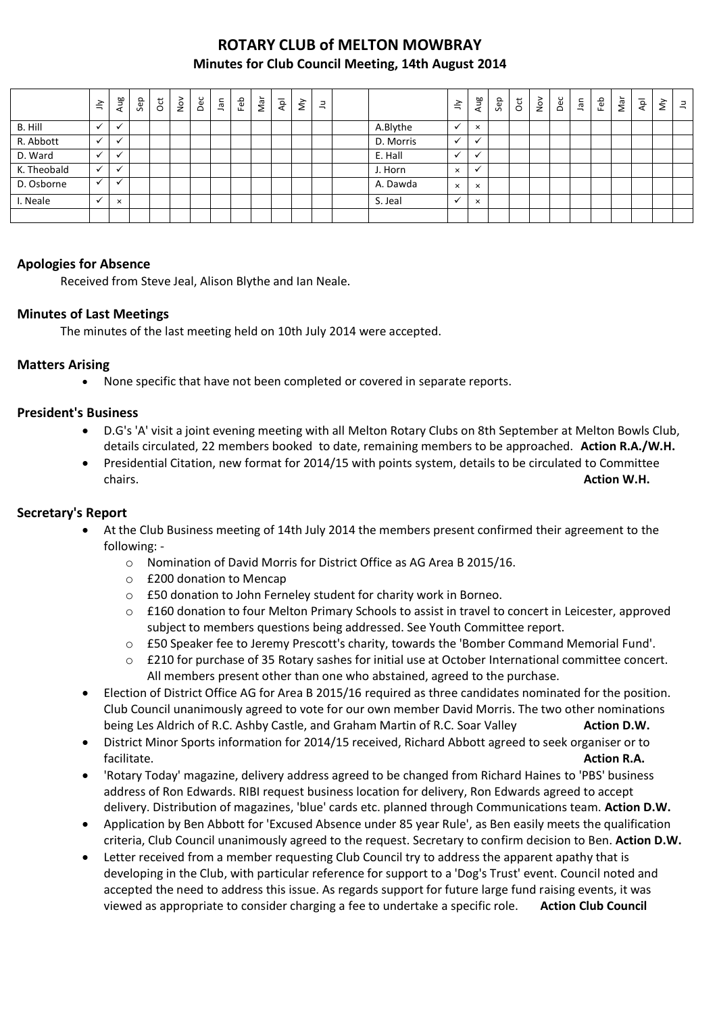# **ROTARY CLUB of MELTON MOWBRAY Minutes for Club Council Meeting, 14th August 2014**

|             | $\tilde{=}$  | Aug                  | Sep | $\rm \ddot{\rm c}$ | $\stackrel{\textstyle\sim}{\sim}$ | Dec | Jan | Feb | Nar | $\overline{P}$ | š | $\exists$ |           | $\tilde{=}$ | Aug          | Sep | $\overline{5}$ | $\sum_{i=1}^{\infty}$ | Dec | ngr | Feb | Nar | $\overline{A}$ | š | $\equiv$ |
|-------------|--------------|----------------------|-----|--------------------|-----------------------------------|-----|-----|-----|-----|----------------|---|-----------|-----------|-------------|--------------|-----|----------------|-----------------------|-----|-----|-----|-----|----------------|---|----------|
| B. Hill     |              | $\ddot{\phantom{0}}$ |     |                    |                                   |     |     |     |     |                |   |           | A.Blythe  |             | $\times$     |     |                |                       |     |     |     |     |                |   |          |
| R. Abbott   |              |                      |     |                    |                                   |     |     |     |     |                |   |           | D. Morris |             |              |     |                |                       |     |     |     |     |                |   |          |
| D. Ward     |              | $\cdot$              |     |                    |                                   |     |     |     |     |                |   |           | E. Hall   |             |              |     |                |                       |     |     |     |     |                |   |          |
| K. Theobald |              | $\ddot{\phantom{0}}$ |     |                    |                                   |     |     |     |     |                |   |           | J. Horn   | $\times$    | $\mathbf{v}$ |     |                |                       |     |     |     |     |                |   |          |
| D. Osborne  |              | $\cdot$              |     |                    |                                   |     |     |     |     |                |   |           | A. Dawda  | $\times$    | $\times$     |     |                |                       |     |     |     |     |                |   |          |
| I. Neale    | $\checkmark$ | $\times$             |     |                    |                                   |     |     |     |     |                |   |           | S. Jeal   |             | $\times$     |     |                |                       |     |     |     |     |                |   |          |
|             |              |                      |     |                    |                                   |     |     |     |     |                |   |           |           |             |              |     |                |                       |     |     |     |     |                |   |          |

## **Apologies for Absence**

Received from Steve Jeal, Alison Blythe and Ian Neale.

#### **Minutes of Last Meetings**

The minutes of the last meeting held on 10th July 2014 were accepted.

#### **Matters Arising**

None specific that have not been completed or covered in separate reports.

#### **President's Business**

- D.G's 'A' visit a joint evening meeting with all Melton Rotary Clubs on 8th September at Melton Bowls Club, details circulated, 22 members booked to date, remaining members to be approached. **Action R.A./W.H.**
- Presidential Citation, new format for 2014/15 with points system, details to be circulated to Committee chairs. **Action W.H.**

#### **Secretary's Report**

- At the Club Business meeting of 14th July 2014 the members present confirmed their agreement to the following:
	- o Nomination of David Morris for District Office as AG Area B 2015/16.
	- o £200 donation to Mencap
	- o £50 donation to John Ferneley student for charity work in Borneo.
	- o £160 donation to four Melton Primary Schools to assist in travel to concert in Leicester, approved subject to members questions being addressed. See Youth Committee report.
	- o £50 Speaker fee to Jeremy Prescott's charity, towards the 'Bomber Command Memorial Fund'.
	- o £210 for purchase of 35 Rotary sashes for initial use at October International committee concert. All members present other than one who abstained, agreed to the purchase.
- Election of District Office AG for Area B 2015/16 required as three candidates nominated for the position. Club Council unanimously agreed to vote for our own member David Morris. The two other nominations being Les Aldrich of R.C. Ashby Castle, and Graham Martin of R.C. Soar Valley **Action D.W.**
- District Minor Sports information for 2014/15 received, Richard Abbott agreed to seek organiser or to facilitate. **Action R.A. Action R.A. Action R.A. Action R.A.**
- 'Rotary Today' magazine, delivery address agreed to be changed from Richard Haines to 'PBS' business address of Ron Edwards. RIBI request business location for delivery, Ron Edwards agreed to accept delivery. Distribution of magazines, 'blue' cards etc. planned through Communications team. **Action D.W.**
- Application by Ben Abbott for 'Excused Absence under 85 year Rule', as Ben easily meets the qualification criteria, Club Council unanimously agreed to the request. Secretary to confirm decision to Ben. **Action D.W.**
- Letter received from a member requesting Club Council try to address the apparent apathy that is developing in the Club, with particular reference for support to a 'Dog's Trust' event. Council noted and accepted the need to address this issue. As regards support for future large fund raising events, it was viewed as appropriate to consider charging a fee to undertake a specific role. **Action Club Council**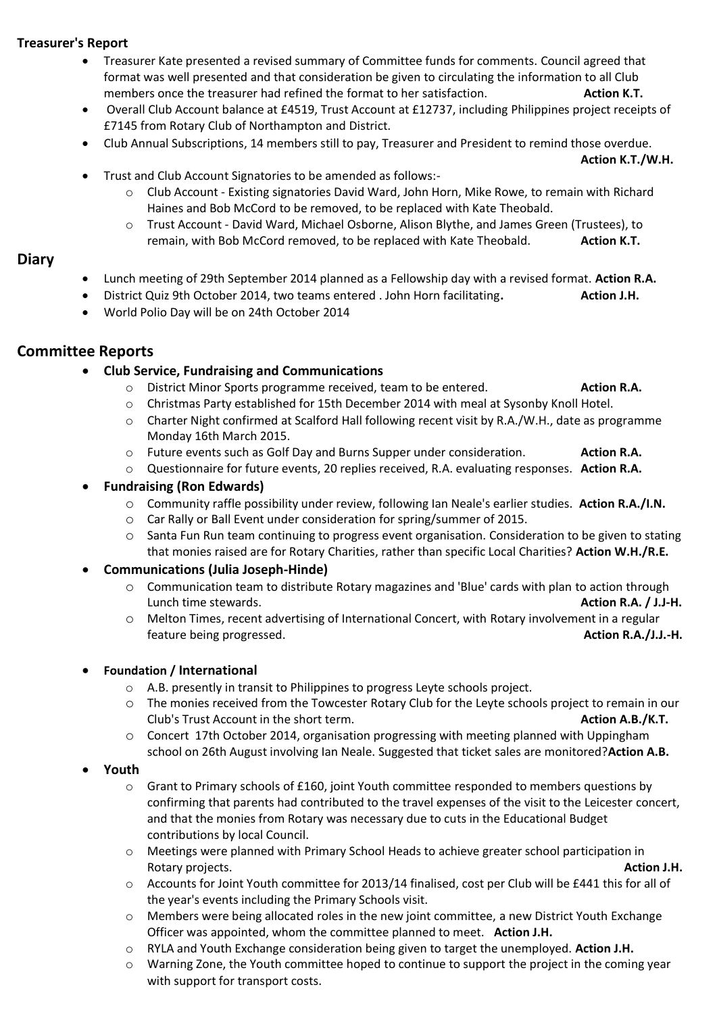## **Treasurer's Report**

- Treasurer Kate presented a revised summary of Committee funds for comments. Council agreed that format was well presented and that consideration be given to circulating the information to all Club members once the treasurer had refined the format to her satisfaction. **Action K.T.**
- Overall Club Account balance at £4519, Trust Account at £12737, including Philippines project receipts of £7145 from Rotary Club of Northampton and District.
- Club Annual Subscriptions, 14 members still to pay, Treasurer and President to remind those overdue.

**Action K.T./W.H.**

- Trust and Club Account Signatories to be amended as follows:
	- o Club Account Existing signatories David Ward, John Horn, Mike Rowe, to remain with Richard Haines and Bob McCord to be removed, to be replaced with Kate Theobald.
	- o Trust Account David Ward, Michael Osborne, Alison Blythe, and James Green (Trustees), to remain, with Bob McCord removed, to be replaced with Kate Theobald. **Action K.T.**

#### **Diary**

- Lunch meeting of 29th September 2014 planned as a Fellowship day with a revised format. **Action R.A.**
- District Quiz 9th October 2014, two teams entered . John Horn facilitating. **Action J.H.**
- World Polio Day will be on 24th October 2014

## **Committee Reports**

#### **Club Service, Fundraising and Communications**

- o District Minor Sports programme received, team to be entered. **Action R.A.**
- o Christmas Party established for 15th December 2014 with meal at Sysonby Knoll Hotel.
- o Charter Night confirmed at Scalford Hall following recent visit by R.A./W.H., date as programme Monday 16th March 2015.
- o Future events such as Golf Day and Burns Supper under consideration. **Action R.A.**
- o Questionnaire for future events, 20 replies received, R.A. evaluating responses. **Action R.A.**

#### **Fundraising (Ron Edwards)**

- o Community raffle possibility under review, following Ian Neale's earlier studies. **Action R.A./I.N.**
- o Car Rally or Ball Event under consideration for spring/summer of 2015.
- o Santa Fun Run team continuing to progress event organisation. Consideration to be given to stating that monies raised are for Rotary Charities, rather than specific Local Charities? **Action W.H./R.E.**

#### **Communications (Julia Joseph-Hinde)**

- o Communication team to distribute Rotary magazines and 'Blue' cards with plan to action through Lunch time stewards. **Action R.A. / J.J-H.**
- o Melton Times, recent advertising of International Concert, with Rotary involvement in a regular feature being progressed. **Action R.A./J.J.-H.**

#### **Foundation / International**

- o A.B. presently in transit to Philippines to progress Leyte schools project.
- o The monies received from the Towcester Rotary Club for the Leyte schools project to remain in our Club's Trust Account in the short term. **Action A.B./K.T.**
- o Concert 17th October 2014, organisation progressing with meeting planned with Uppingham school on 26th August involving Ian Neale. Suggested that ticket sales are monitored?**Action A.B.**

#### **Youth**

- $\circ$  Grant to Primary schools of £160, joint Youth committee responded to members questions by confirming that parents had contributed to the travel expenses of the visit to the Leicester concert, and that the monies from Rotary was necessary due to cuts in the Educational Budget contributions by local Council.
- o Meetings were planned with Primary School Heads to achieve greater school participation in Rotary projects. **Action J.H.**
- o Accounts for Joint Youth committee for 2013/14 finalised, cost per Club will be £441 this for all of the year's events including the Primary Schools visit.
- o Members were being allocated roles in the new joint committee, a new District Youth Exchange Officer was appointed, whom the committee planned to meet. **Action J.H.**
- o RYLA and Youth Exchange consideration being given to target the unemployed. **Action J.H.**
- o Warning Zone, the Youth committee hoped to continue to support the project in the coming year with support for transport costs.